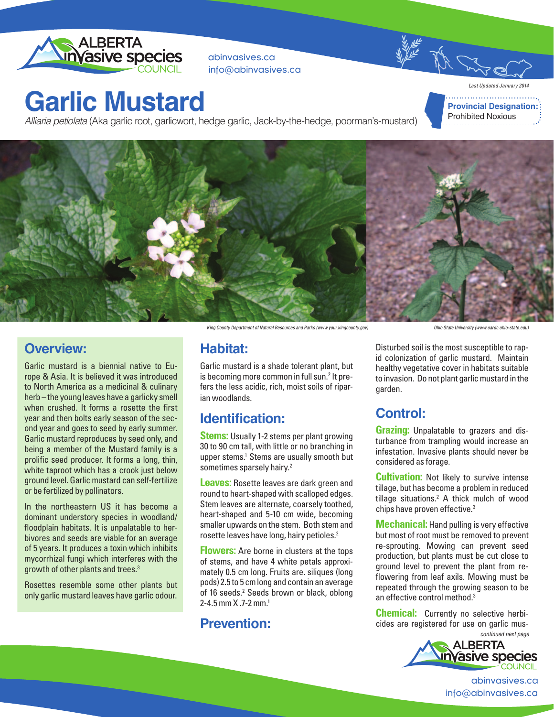

abinvasives.ca info@abinvasives.ca

## **Garlic Mustard**

Alliaria petiolata (Aka garlic root, garlicwort, hedge garlic, Jack-by-the-hedge, poorman's-mustard)

*Last Updated January 2014* **Provincial Designation:** Prohibited Noxious



#### **Overview:**

Garlic mustard is a biennial native to Europe & Asia. It is believed it was introduced to North America as a medicinal & culinary herb – the young leaves have a garlicky smell when crushed. It forms a rosette the first year and then bolts early season of the second year and goes to seed by early summer. Garlic mustard reproduces by seed only, and being a member of the Mustard family is a prolific seed producer. It forms a long, thin, white taproot which has a crook just below ground level. Garlic mustard can self-fertilize or be fertilized by pollinators.

In the northeastern US it has become a dominant understory species in woodland/ floodplain habitats. It is unpalatable to herbivores and seeds are viable for an average of 5 years. It produces a toxin which inhibits mycorrhizal fungi which interferes with the growth of other plants and trees.3

Rosettes resemble some other plants but only garlic mustard leaves have garlic odour.

King County Department of Natural Resources and Parks (www.your.kingcounty.gov)

Ohio State University (www.oardc.ohio-state.edu)

#### **Habitat:**

Garlic mustard is a shade tolerant plant, but is becoming more common in full sun.<sup>2</sup> It prefers the less acidic, rich, moist soils of riparian woodlands.

### **Identification:**

**Stems:** Usually 1-2 stems per plant growing 30 to 90 cm tall, with little or no branching in upper stems.<sup>1</sup> Stems are usually smooth but sometimes sparsely hairy.<sup>2</sup>

**Leaves:** Rosette leaves are dark green and round to heart-shaped with scalloped edges. Stem leaves are alternate, coarsely toothed, heart-shaped and 5-10 cm wide, becoming smaller upwards on the stem. Both stem and rosette leaves have long, hairy petioles.<sup>2</sup>

**Flowers:** Are borne in clusters at the tops of stems, and have 4 white petals approximately 0.5 cm long. Fruits are. siliques (long pods) 2.5 to 5 cm long and contain an average of 16 seeds.<sup>2</sup> Seeds brown or black, oblong 2-4.5 mm X .7-2 mm.1

#### **Prevention:**

Disturbed soil is the most susceptible to rapid colonization of garlic mustard. Maintain healthy vegetative cover in habitats suitable to invasion. Do not plant garlic mustard in the garden.

## **Control:**

**Grazing:** Unpalatable to grazers and disturbance from trampling would increase an infestation. Invasive plants should never be considered as forage.

**Cultivation:** Not likely to survive intense tillage, but has become a problem in reduced tillage situations.<sup>2</sup> A thick mulch of wood chips have proven effective.3

**Mechanical:** Hand pulling is very effective but most of root must be removed to prevent re-sprouting. Mowing can prevent seed production, but plants must be cut close to ground level to prevent the plant from reflowering from leaf axils. Mowing must be repeated through the growing season to be an effective control method.<sup>3</sup>

continued next page **Chemical:** Currently no selective herbicides are registered for use on garlic mus-



abinvasives.ca info@abinvasives.ca